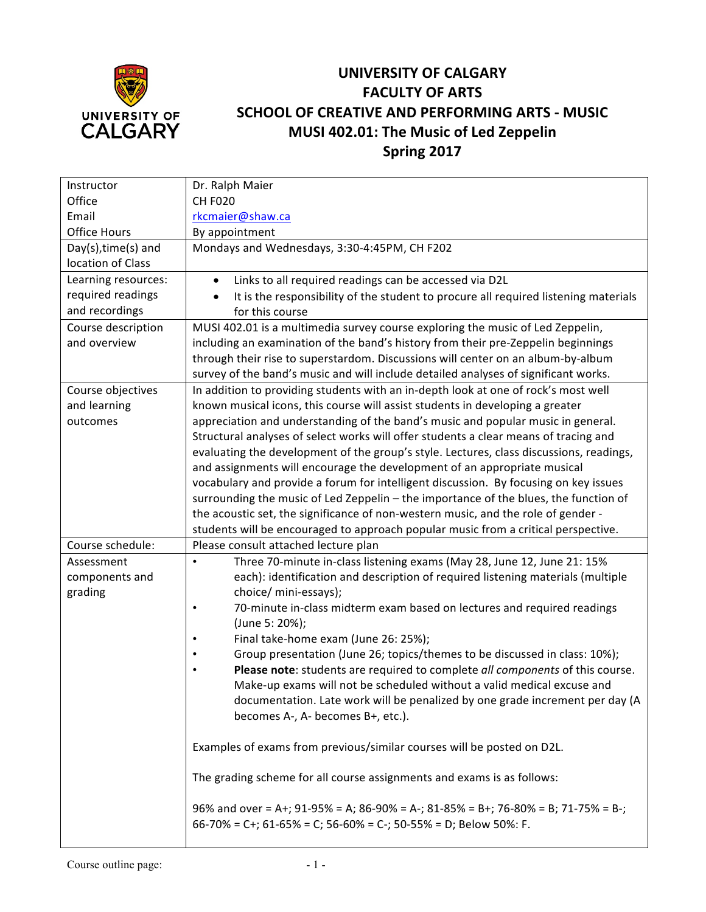

## **UNIVERSITY OF CALGARY FACULTY OF ARTS SCHOOL OF CREATIVE AND PERFORMING ARTS - MUSIC MUSI 402.01: The Music of Led Zeppelin Spring 2017**

| Instructor          | Dr. Ralph Maier                                                                                                                                             |  |  |  |  |
|---------------------|-------------------------------------------------------------------------------------------------------------------------------------------------------------|--|--|--|--|
| Office              | <b>CH F020</b>                                                                                                                                              |  |  |  |  |
| Email               | rkcmaier@shaw.ca                                                                                                                                            |  |  |  |  |
| <b>Office Hours</b> | By appointment                                                                                                                                              |  |  |  |  |
| Day(s), time(s) and | Mondays and Wednesdays, 3:30-4:45PM, CH F202                                                                                                                |  |  |  |  |
| location of Class   |                                                                                                                                                             |  |  |  |  |
| Learning resources: | Links to all required readings can be accessed via D2L                                                                                                      |  |  |  |  |
| required readings   | It is the responsibility of the student to procure all required listening materials                                                                         |  |  |  |  |
| and recordings      | for this course                                                                                                                                             |  |  |  |  |
| Course description  | MUSI 402.01 is a multimedia survey course exploring the music of Led Zeppelin,                                                                              |  |  |  |  |
| and overview        | including an examination of the band's history from their pre-Zeppelin beginnings                                                                           |  |  |  |  |
|                     | through their rise to superstardom. Discussions will center on an album-by-album                                                                            |  |  |  |  |
|                     | survey of the band's music and will include detailed analyses of significant works.                                                                         |  |  |  |  |
| Course objectives   | In addition to providing students with an in-depth look at one of rock's most well                                                                          |  |  |  |  |
| and learning        | known musical icons, this course will assist students in developing a greater                                                                               |  |  |  |  |
| outcomes            | appreciation and understanding of the band's music and popular music in general.                                                                            |  |  |  |  |
|                     | Structural analyses of select works will offer students a clear means of tracing and                                                                        |  |  |  |  |
|                     | evaluating the development of the group's style. Lectures, class discussions, readings,                                                                     |  |  |  |  |
|                     | and assignments will encourage the development of an appropriate musical                                                                                    |  |  |  |  |
|                     | vocabulary and provide a forum for intelligent discussion. By focusing on key issues                                                                        |  |  |  |  |
|                     | surrounding the music of Led Zeppelin - the importance of the blues, the function of                                                                        |  |  |  |  |
|                     | the acoustic set, the significance of non-western music, and the role of gender -                                                                           |  |  |  |  |
|                     | students will be encouraged to approach popular music from a critical perspective.                                                                          |  |  |  |  |
| Course schedule:    | Please consult attached lecture plan                                                                                                                        |  |  |  |  |
| Assessment          | Three 70-minute in-class listening exams (May 28, June 12, June 21: 15%<br>$\bullet$                                                                        |  |  |  |  |
| components and      | each): identification and description of required listening materials (multiple                                                                             |  |  |  |  |
| grading             | choice/ mini-essays);                                                                                                                                       |  |  |  |  |
|                     | 70-minute in-class midterm exam based on lectures and required readings<br>$\bullet$                                                                        |  |  |  |  |
|                     | (June 5: 20%);                                                                                                                                              |  |  |  |  |
|                     | Final take-home exam (June 26: 25%);                                                                                                                        |  |  |  |  |
|                     | Group presentation (June 26; topics/themes to be discussed in class: 10%);<br>Please note: students are required to complete all components of this course. |  |  |  |  |
|                     | Make-up exams will not be scheduled without a valid medical excuse and                                                                                      |  |  |  |  |
|                     | documentation. Late work will be penalized by one grade increment per day (A                                                                                |  |  |  |  |
|                     | becomes A-, A- becomes B+, etc.).                                                                                                                           |  |  |  |  |
|                     |                                                                                                                                                             |  |  |  |  |
|                     | Examples of exams from previous/similar courses will be posted on D2L.                                                                                      |  |  |  |  |
|                     | The grading scheme for all course assignments and exams is as follows:                                                                                      |  |  |  |  |
|                     | 96% and over = A+; 91-95% = A; 86-90% = A-; 81-85% = B+; 76-80% = B; 71-75% = B-;<br>$66-70\%$ = C+; 61-65% = C; 56-60% = C-; 50-55% = D; Below 50%: F.     |  |  |  |  |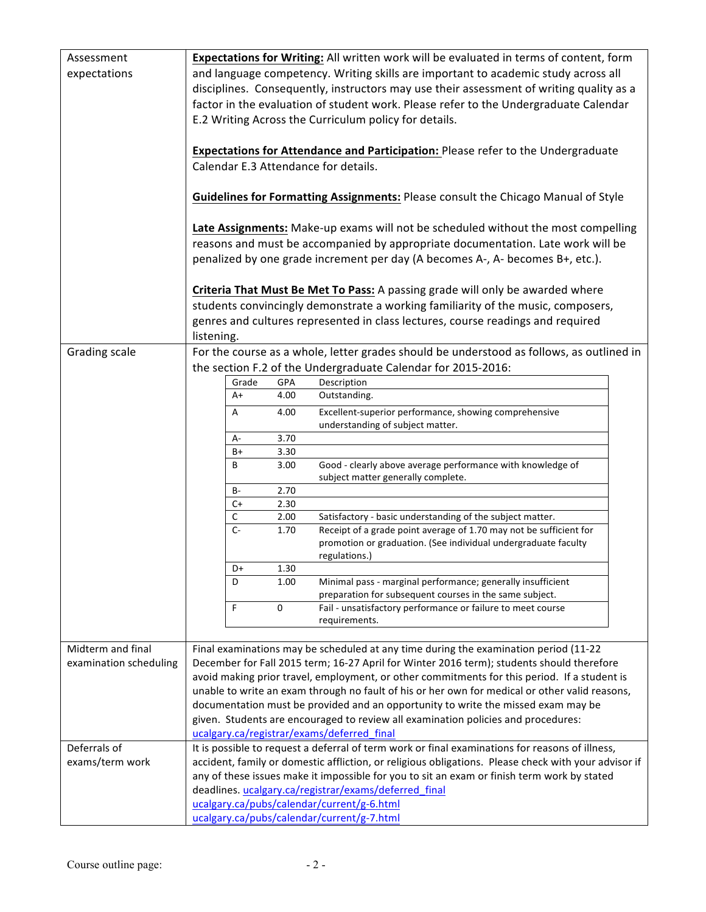| Assessment<br>expectations | Expectations for Writing: All written work will be evaluated in terms of content, form<br>and language competency. Writing skills are important to academic study across all<br>disciplines. Consequently, instructors may use their assessment of writing quality as a<br>factor in the evaluation of student work. Please refer to the Undergraduate Calendar<br>E.2 Writing Across the Curriculum policy for details.<br>Expectations for Attendance and Participation: Please refer to the Undergraduate<br>Calendar E.3 Attendance for details. |             |              |                                                                                                                                                                        |  |  |
|----------------------------|------------------------------------------------------------------------------------------------------------------------------------------------------------------------------------------------------------------------------------------------------------------------------------------------------------------------------------------------------------------------------------------------------------------------------------------------------------------------------------------------------------------------------------------------------|-------------|--------------|------------------------------------------------------------------------------------------------------------------------------------------------------------------------|--|--|
|                            | <b>Guidelines for Formatting Assignments: Please consult the Chicago Manual of Style</b>                                                                                                                                                                                                                                                                                                                                                                                                                                                             |             |              |                                                                                                                                                                        |  |  |
|                            | Late Assignments: Make-up exams will not be scheduled without the most compelling<br>reasons and must be accompanied by appropriate documentation. Late work will be<br>penalized by one grade increment per day (A becomes A-, A- becomes B+, etc.).                                                                                                                                                                                                                                                                                                |             |              |                                                                                                                                                                        |  |  |
|                            |                                                                                                                                                                                                                                                                                                                                                                                                                                                                                                                                                      |             |              | Criteria That Must Be Met To Pass: A passing grade will only be awarded where                                                                                          |  |  |
|                            |                                                                                                                                                                                                                                                                                                                                                                                                                                                                                                                                                      |             |              | students convincingly demonstrate a working familiarity of the music, composers,                                                                                       |  |  |
|                            |                                                                                                                                                                                                                                                                                                                                                                                                                                                                                                                                                      |             |              | genres and cultures represented in class lectures, course readings and required                                                                                        |  |  |
|                            | listening.                                                                                                                                                                                                                                                                                                                                                                                                                                                                                                                                           |             |              |                                                                                                                                                                        |  |  |
| Grading scale              |                                                                                                                                                                                                                                                                                                                                                                                                                                                                                                                                                      |             |              | For the course as a whole, letter grades should be understood as follows, as outlined in                                                                               |  |  |
|                            |                                                                                                                                                                                                                                                                                                                                                                                                                                                                                                                                                      |             |              | the section F.2 of the Undergraduate Calendar for 2015-2016:                                                                                                           |  |  |
|                            |                                                                                                                                                                                                                                                                                                                                                                                                                                                                                                                                                      | Grade<br>A+ | GPA<br>4.00  | Description<br>Outstanding.                                                                                                                                            |  |  |
|                            |                                                                                                                                                                                                                                                                                                                                                                                                                                                                                                                                                      |             |              |                                                                                                                                                                        |  |  |
|                            |                                                                                                                                                                                                                                                                                                                                                                                                                                                                                                                                                      | A           | 4.00         | Excellent-superior performance, showing comprehensive<br>understanding of subject matter.                                                                              |  |  |
|                            |                                                                                                                                                                                                                                                                                                                                                                                                                                                                                                                                                      | А-<br>B+    | 3.70<br>3.30 |                                                                                                                                                                        |  |  |
|                            |                                                                                                                                                                                                                                                                                                                                                                                                                                                                                                                                                      | В           | 3.00         | Good - clearly above average performance with knowledge of                                                                                                             |  |  |
|                            |                                                                                                                                                                                                                                                                                                                                                                                                                                                                                                                                                      |             |              | subject matter generally complete.                                                                                                                                     |  |  |
|                            |                                                                                                                                                                                                                                                                                                                                                                                                                                                                                                                                                      | B-          | 2.70         |                                                                                                                                                                        |  |  |
|                            |                                                                                                                                                                                                                                                                                                                                                                                                                                                                                                                                                      | $C+$        | 2.30         |                                                                                                                                                                        |  |  |
|                            |                                                                                                                                                                                                                                                                                                                                                                                                                                                                                                                                                      | C           | 2.00         | Satisfactory - basic understanding of the subject matter.                                                                                                              |  |  |
|                            |                                                                                                                                                                                                                                                                                                                                                                                                                                                                                                                                                      | $C -$       | 1.70         | Receipt of a grade point average of 1.70 may not be sufficient for<br>promotion or graduation. (See individual undergraduate faculty<br>regulations.)                  |  |  |
|                            |                                                                                                                                                                                                                                                                                                                                                                                                                                                                                                                                                      | D+          | 1.30         |                                                                                                                                                                        |  |  |
|                            |                                                                                                                                                                                                                                                                                                                                                                                                                                                                                                                                                      | D           | 1.00         | Minimal pass - marginal performance; generally insufficient                                                                                                            |  |  |
|                            |                                                                                                                                                                                                                                                                                                                                                                                                                                                                                                                                                      | F           | 0            | preparation for subsequent courses in the same subject.<br>Fail - unsatisfactory performance or failure to meet course                                                 |  |  |
|                            |                                                                                                                                                                                                                                                                                                                                                                                                                                                                                                                                                      |             |              | requirements.                                                                                                                                                          |  |  |
|                            |                                                                                                                                                                                                                                                                                                                                                                                                                                                                                                                                                      |             |              |                                                                                                                                                                        |  |  |
| Midterm and final          |                                                                                                                                                                                                                                                                                                                                                                                                                                                                                                                                                      |             |              | Final examinations may be scheduled at any time during the examination period (11-22                                                                                   |  |  |
| examination scheduling     |                                                                                                                                                                                                                                                                                                                                                                                                                                                                                                                                                      |             |              | December for Fall 2015 term; 16-27 April for Winter 2016 term); students should therefore                                                                              |  |  |
|                            |                                                                                                                                                                                                                                                                                                                                                                                                                                                                                                                                                      |             |              | avoid making prior travel, employment, or other commitments for this period. If a student is                                                                           |  |  |
|                            |                                                                                                                                                                                                                                                                                                                                                                                                                                                                                                                                                      |             |              | unable to write an exam through no fault of his or her own for medical or other valid reasons,                                                                         |  |  |
|                            |                                                                                                                                                                                                                                                                                                                                                                                                                                                                                                                                                      |             |              | documentation must be provided and an opportunity to write the missed exam may be<br>given. Students are encouraged to review all examination policies and procedures: |  |  |
|                            |                                                                                                                                                                                                                                                                                                                                                                                                                                                                                                                                                      |             |              | ucalgary.ca/registrar/exams/deferred final                                                                                                                             |  |  |
| Deferrals of               |                                                                                                                                                                                                                                                                                                                                                                                                                                                                                                                                                      |             |              | It is possible to request a deferral of term work or final examinations for reasons of illness,                                                                        |  |  |
| exams/term work            |                                                                                                                                                                                                                                                                                                                                                                                                                                                                                                                                                      |             |              | accident, family or domestic affliction, or religious obligations. Please check with your advisor if                                                                   |  |  |
|                            |                                                                                                                                                                                                                                                                                                                                                                                                                                                                                                                                                      |             |              | any of these issues make it impossible for you to sit an exam or finish term work by stated                                                                            |  |  |
|                            |                                                                                                                                                                                                                                                                                                                                                                                                                                                                                                                                                      |             |              | deadlines. ucalgary.ca/registrar/exams/deferred_final                                                                                                                  |  |  |
|                            |                                                                                                                                                                                                                                                                                                                                                                                                                                                                                                                                                      |             |              | ucalgary.ca/pubs/calendar/current/g-6.html                                                                                                                             |  |  |
|                            |                                                                                                                                                                                                                                                                                                                                                                                                                                                                                                                                                      |             |              | ucalgary.ca/pubs/calendar/current/g-7.html                                                                                                                             |  |  |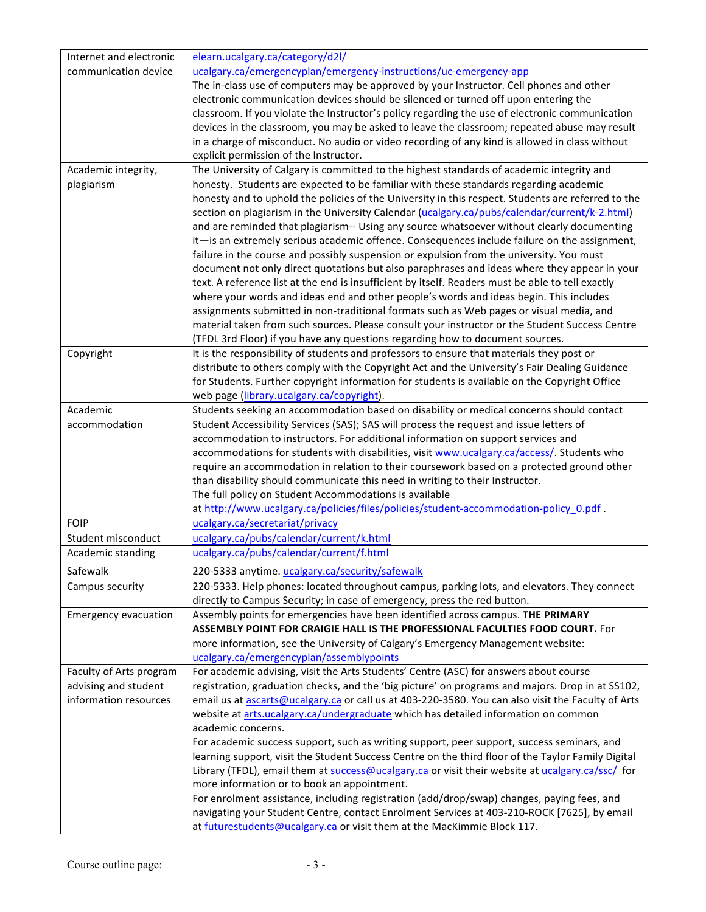| Internet and electronic                       | elearn.ucalgary.ca/category/d2l/                                                                                                  |  |  |  |  |
|-----------------------------------------------|-----------------------------------------------------------------------------------------------------------------------------------|--|--|--|--|
| communication device                          | ucalgary.ca/emergencyplan/emergency-instructions/uc-emergency-app                                                                 |  |  |  |  |
|                                               | The in-class use of computers may be approved by your Instructor. Cell phones and other                                           |  |  |  |  |
|                                               | electronic communication devices should be silenced or turned off upon entering the                                               |  |  |  |  |
|                                               | classroom. If you violate the Instructor's policy regarding the use of electronic communication                                   |  |  |  |  |
|                                               | devices in the classroom, you may be asked to leave the classroom; repeated abuse may result                                      |  |  |  |  |
|                                               | in a charge of misconduct. No audio or video recording of any kind is allowed in class without                                    |  |  |  |  |
|                                               | explicit permission of the Instructor.                                                                                            |  |  |  |  |
| Academic integrity,                           | The University of Calgary is committed to the highest standards of academic integrity and                                         |  |  |  |  |
| plagiarism                                    | honesty. Students are expected to be familiar with these standards regarding academic                                             |  |  |  |  |
|                                               | honesty and to uphold the policies of the University in this respect. Students are referred to the                                |  |  |  |  |
|                                               | section on plagiarism in the University Calendar (ucalgary.ca/pubs/calendar/current/k-2.html)                                     |  |  |  |  |
|                                               | and are reminded that plagiarism-- Using any source whatsoever without clearly documenting                                        |  |  |  |  |
|                                               | it-is an extremely serious academic offence. Consequences include failure on the assignment,                                      |  |  |  |  |
|                                               | failure in the course and possibly suspension or expulsion from the university. You must                                          |  |  |  |  |
|                                               | document not only direct quotations but also paraphrases and ideas where they appear in your                                      |  |  |  |  |
|                                               | text. A reference list at the end is insufficient by itself. Readers must be able to tell exactly                                 |  |  |  |  |
|                                               | where your words and ideas end and other people's words and ideas begin. This includes                                            |  |  |  |  |
|                                               | assignments submitted in non-traditional formats such as Web pages or visual media, and                                           |  |  |  |  |
|                                               | material taken from such sources. Please consult your instructor or the Student Success Centre                                    |  |  |  |  |
|                                               | (TFDL 3rd Floor) if you have any questions regarding how to document sources.                                                     |  |  |  |  |
| Copyright                                     | It is the responsibility of students and professors to ensure that materials they post or                                         |  |  |  |  |
|                                               | distribute to others comply with the Copyright Act and the University's Fair Dealing Guidance                                     |  |  |  |  |
|                                               | for Students. Further copyright information for students is available on the Copyright Office                                     |  |  |  |  |
|                                               | web page (library.ucalgary.ca/copyright).                                                                                         |  |  |  |  |
| Academic                                      | Students seeking an accommodation based on disability or medical concerns should contact                                          |  |  |  |  |
| accommodation                                 | Student Accessibility Services (SAS); SAS will process the request and issue letters of                                           |  |  |  |  |
|                                               | accommodation to instructors. For additional information on support services and                                                  |  |  |  |  |
|                                               | accommodations for students with disabilities, visit www.ucalgary.ca/access/. Students who                                        |  |  |  |  |
|                                               | require an accommodation in relation to their coursework based on a protected ground other                                        |  |  |  |  |
|                                               | than disability should communicate this need in writing to their Instructor.                                                      |  |  |  |  |
|                                               | The full policy on Student Accommodations is available                                                                            |  |  |  |  |
| <b>FOIP</b>                                   | at http://www.ucalgary.ca/policies/files/policies/student-accommodation-policy 0.pdf.<br>ucalgary.ca/secretariat/privacy          |  |  |  |  |
| Student misconduct                            |                                                                                                                                   |  |  |  |  |
| Academic standing                             | ucalgary.ca/pubs/calendar/current/k.html<br>ucalgary.ca/pubs/calendar/current/f.html                                              |  |  |  |  |
|                                               |                                                                                                                                   |  |  |  |  |
| Safewalk                                      | 220-5333 anytime. ucalgary.ca/security/safewalk                                                                                   |  |  |  |  |
| Campus security                               | 220-5333. Help phones: located throughout campus, parking lots, and elevators. They connect                                       |  |  |  |  |
|                                               | directly to Campus Security; in case of emergency, press the red button.                                                          |  |  |  |  |
| <b>Emergency evacuation</b>                   | Assembly points for emergencies have been identified across campus. THE PRIMARY                                                   |  |  |  |  |
|                                               | <b>ASSEMBLY POINT FOR CRAIGIE HALL IS THE PROFESSIONAL FACULTIES FOOD COURT. For</b>                                              |  |  |  |  |
|                                               | more information, see the University of Calgary's Emergency Management website:                                                   |  |  |  |  |
|                                               | ucalgary.ca/emergencyplan/assemblypoints<br>For academic advising, visit the Arts Students' Centre (ASC) for answers about course |  |  |  |  |
| Faculty of Arts program                       |                                                                                                                                   |  |  |  |  |
| advising and student<br>information resources | registration, graduation checks, and the 'big picture' on programs and majors. Drop in at SS102,                                  |  |  |  |  |
|                                               | email us at ascarts@ucalgary.ca or call us at 403-220-3580. You can also visit the Faculty of Arts                                |  |  |  |  |
|                                               | website at arts.ucalgary.ca/undergraduate which has detailed information on common<br>academic concerns.                          |  |  |  |  |
|                                               | For academic success support, such as writing support, peer support, success seminars, and                                        |  |  |  |  |
|                                               | learning support, visit the Student Success Centre on the third floor of the Taylor Family Digital                                |  |  |  |  |
|                                               | Library (TFDL), email them at success@ucalgary.ca or visit their website at ucalgary.ca/ssc/ for                                  |  |  |  |  |
|                                               | more information or to book an appointment.                                                                                       |  |  |  |  |
|                                               | For enrolment assistance, including registration (add/drop/swap) changes, paying fees, and                                        |  |  |  |  |
|                                               | navigating your Student Centre, contact Enrolment Services at 403-210-ROCK [7625], by email                                       |  |  |  |  |
|                                               | at futurestudents@ucalgary.ca or visit them at the MacKimmie Block 117.                                                           |  |  |  |  |
|                                               |                                                                                                                                   |  |  |  |  |